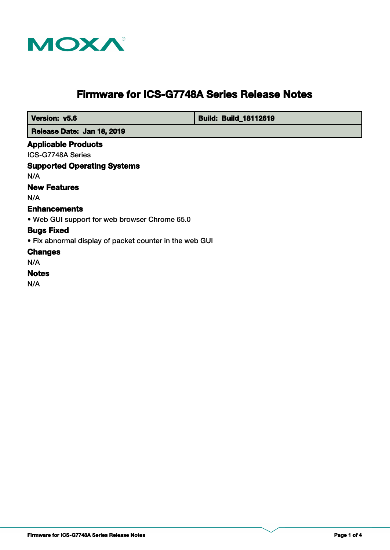

# **Firmware for ICS-G7748A Series Release Notes**

 **Version: v5.6 Build: Build: Build: Build: 18112619** 

 **Release Date: Jan 18, 2019**

## **Applicable Products**

ICS-G7748A Series

**Supported Operating Systems**

N/A

# **New Features**

N/A

# **Enhancements**

• Web GUI support for web browser Chrome 65.0

#### **Bugs Fixed**

• Fix abnormal display of packet counter in the web GUI

# **Changes**

N/A

# **Notes**

N/A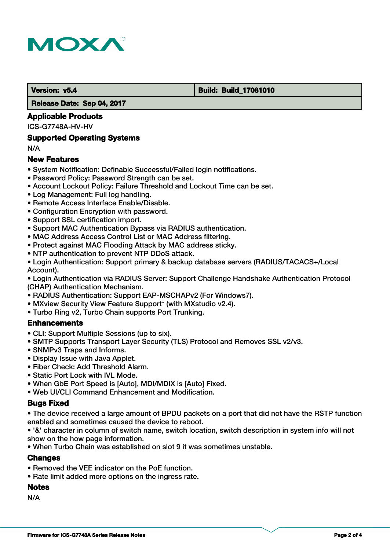

#### **Version: v5.4 Build: Build: Build: 17081010**

 **Release Date: Sep 04, 2017**

## **Applicable Products**

ICS-G7748A-HV-HV

### **Supported Operating Systems**

N/A

# **New Features**

- System Notification: Definable Successful/Failed login notifications.
- Password Policy: Password Strength can be set.
- Account Lockout Policy: Failure Threshold and Lockout Time can be set.
- Log Management: Full log handling.
- Remote Access Interface Enable/Disable.
- Configuration Encryption with password.
- Support SSL certification import.
- Support MAC Authentication Bypass via RADIUS authentication.
- MAC Address Access Control List or MAC Address filtering.
- Protect against MAC Flooding Attack by MAC address sticky.
- NTP authentication to prevent NTP DDoS attack.
- Login Authentication: Support primary & backup database servers (RADIUS/TACACS+/Local Account).

• Login Authentication via RADIUS Server: Support Challenge Handshake Authentication Protocol (CHAP) Authentication Mechanism.

- RADIUS Authentication: Support EAP-MSCHAPv2 (For Windows7).
- MXview Security View Feature Support\* (with MXstudio v2.4).
- Turbo Ring v2, Turbo Chain supports Port Trunking.

#### **Enhancements**

- CLI: Support Multiple Sessions (up to six).
- SMTP Supports Transport Layer Security (TLS) Protocol and Removes SSL v2/v3.
- SNMPv3 Traps and Informs.
- Display Issue with Java Applet.
- Fiber Check: Add Threshold Alarm.
- Static Port Lock with IVL Mode.
- When GbE Port Speed is [Auto], MDI/MDIX is [Auto] Fixed.
- Web UI/CLI Command Enhancement and Modification.

#### **Bugs Fixed**

• The device received a large amount of BPDU packets on a port that did not have the RSTP function enabled and sometimes caused the device to reboot.

• '&' character in column of switch name, switch location, switch description in system info will not show on the how page information.

• When Turbo Chain was established on slot 9 it was sometimes unstable.

#### **Changes**

- Removed the VEE indicator on the PoE function.
- Rate limit added more options on the ingress rate.

### **Notes**

N/A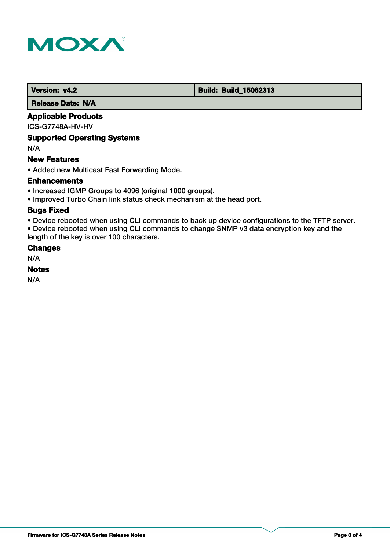

 **Version: v4.2 Build: Build: Build: 15062313** 

 **Release Date: N/A**

# **Applicable Products**

ICS-G7748A-HV-HV

# **Supported Operating Systems**

N/A

#### **New Features**

• Added new Multicast Fast Forwarding Mode.

#### **Enhancements**

- Increased IGMP Groups to 4096 (original 1000 groups).
- Improved Turbo Chain link status check mechanism at the head port.

#### **Bugs Fixed**

• Device rebooted when using CLI commands to back up device configurations to the TFTP server.

• Device rebooted when using CLI commands to change SNMP v3 data encryption key and the length of the key is over 100 characters.

#### **Changes**

N/A

#### **Notes**

N/A